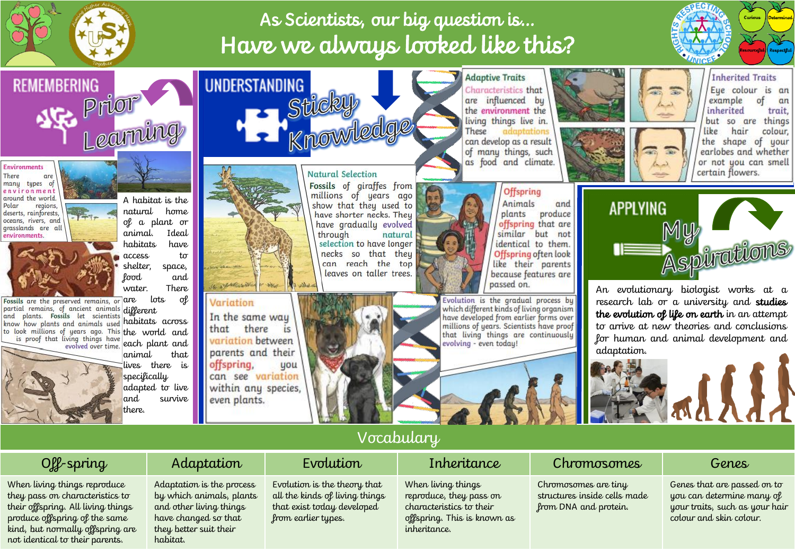

**REMEMBERING** 

# As Scientists, our big question is… Have we always looked like this?



### **Inherited Traits**

Eue colour is an example of an inherited trait, but so are things like hair colour, the shape of your earlobes and whether or not you can smell

Environments There nany types of environmen around the world. regions, deserts, rainforests, oceans, rivers, and grasslands are all environments.



Fossils are the preserved remains, or partial remains, of ancient animals and plants. Fossils let scientists know how plants and animals used to look millions of years ago. This the world and is proof that living things have evolved over time.



A habitat is the

**SIGE Prior** 

natural home of a plant or animal. Ideal habitats have access to shelter, space, food and

water. There

are lots of different habitats across each plant and

> animal that lives there is specifically adapted to live and survive there.



### **Natural Selection**

Fossils of giraffes from millions of years ago show that they used to have shorter necks. They have gradually evolved through natural selection to have longer necks so that they can reach the top leaves on taller trees.

the environment the living things live in. These adaptations can develop as a result of many things, such as food and climate.

**Offspring** Animals and produce plants offspring that are similar but not identical to them. Offspring often look like their parents because features are passed on.

Evolution is the gradual process by which different kinds of living organism have developed from earlier forms over millions of years. Scientists have proof that living things are continuously evolving - even todau!

**Adaptive Traits** 

Characteristics that

are influenced by



An evolutionary biologist works at a research lab or a university and studies the evolution of life on earth in an attempt to arrive at new theories and conclusions for human and animal development and adaptation.



## Vocabulary

When living things reproduce they pass on characteristics to their offspring. All living things produce offspring of the same kind, but normally offspring are not identical to their parents.

### Off-spring | Adaptation | Evolution | Inheritance | Chromosomes | Genes

Adaptation is the process by which animals, plants and other living things have changed so that they better suit their habitat.

Variation

offspring,

even plants.

In the same way

variation between

parents and their

can see variation

within any species,

is

uou

that there

Evolution is the theory that all the kinds of living things that exist today developed

from earlier types.

When living things reproduce, they pass on characteristics to their offspring. This is known as inheritance.

Chromosomes are tiny structures inside cells made from DNA and protein.

Genes that are passed on to you can determine many of your traits, such as your hair colour and skin colour.